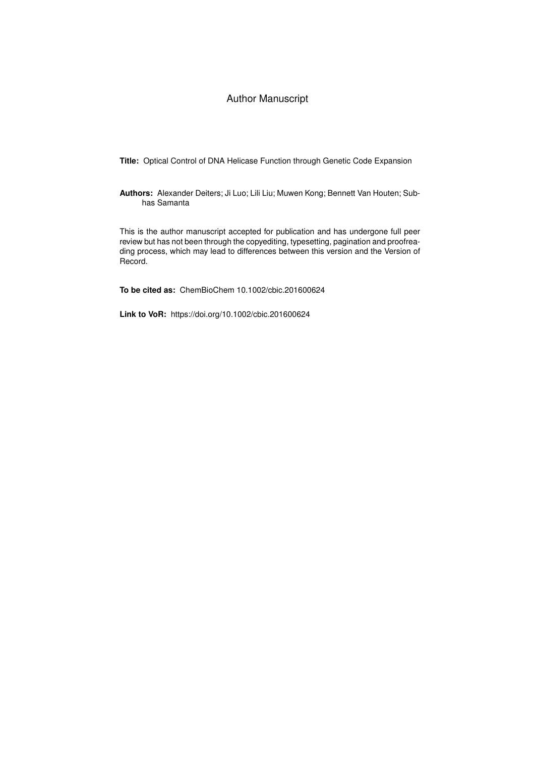### Author Manuscript

**Title:** Optical Control of DNA Helicase Function through Genetic Code Expansion

**Authors:** Alexander Deiters; Ji Luo; Lili Liu; Muwen Kong; Bennett Van Houten; Subhas Samanta

This is the author manuscript accepted for publication and has undergone full peer review but has not been through the copyediting, typesetting, pagination and proofreading process, which may lead to differences between this version and the Version of Record.

**To be cited as:** ChemBioChem 10.1002/cbic.201600624

**Link to VoR:** https://doi.org/10.1002/cbic.201600624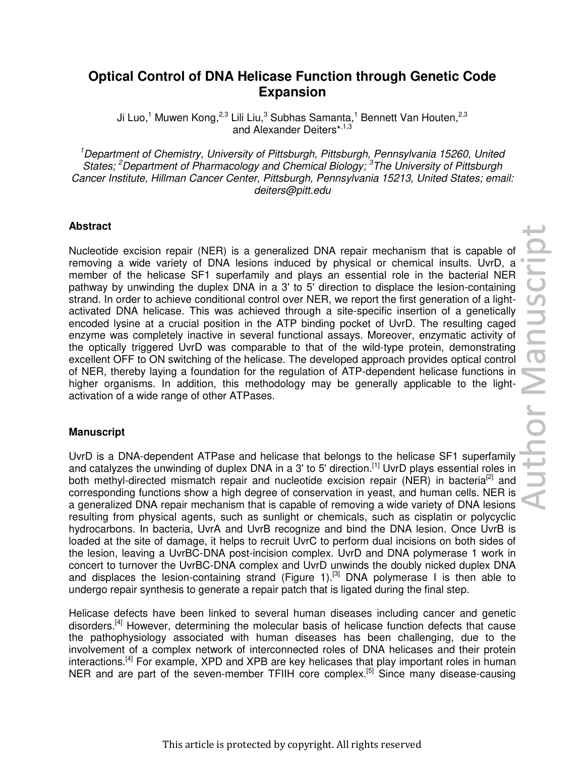# pr Manuscrip

# **Optical Control of DNA Helicase Function through Genetic Code Expansion**

Ji Luo,<sup>1</sup> Muwen Kong,<sup>2,3</sup> Lili Liu,<sup>3</sup> Subhas Samanta,<sup>1</sup> Bennett Van Houten,<sup>2,3</sup> and Alexander Deiters\*,<sup>1,3</sup>

*<sup>1</sup>Department of Chemistry, University of Pittsburgh, Pittsburgh, Pennsylvania 15260, United States; <sup>2</sup>Department of Pharmacology and Chemical Biology; <sup>3</sup>The University of Pittsburgh Cancer Institute, Hillman Cancer Center, Pittsburgh, Pennsylvania 15213, United States; email: deiters@pitt.edu* 

## **Abstract**

Nucleotide excision repair (NER) is a generalized DNA repair mechanism that is capable of removing a wide variety of DNA lesions induced by physical or chemical insults. UvrD, a member of the helicase SF1 superfamily and plays an essential role in the bacterial NER pathway by unwinding the duplex DNA in a 3' to 5' direction to displace the lesion-containing strand. In order to achieve conditional control over NER, we report the first generation of a lightactivated DNA helicase. This was achieved through a site-specific insertion of a genetically encoded lysine at a crucial position in the ATP binding pocket of UvrD. The resulting caged enzyme was completely inactive in several functional assays. Moreover, enzymatic activity of the optically triggered UvrD was comparable to that of the wild-type protein, demonstrating excellent OFF to ON switching of the helicase. The developed approach provides optical control of NER, thereby laying a foundation for the regulation of ATP-dependent helicase functions in higher organisms. In addition, this methodology may be generally applicable to the lightactivation of a wide range of other ATPases.

### **Manuscript**

UvrD is a DNA-dependent ATPase and helicase that belongs to the helicase SF1 superfamily and catalyzes the unwinding of duplex DNA in a 3' to 5' direction.<sup>[1]</sup> UvrD plays essential roles in both methyl-directed mismatch repair and nucleotide excision repair (NER) in bacteria<sup>[2]</sup> and corresponding functions show a high degree of conservation in yeast, and human cells. NER is a generalized DNA repair mechanism that is capable of removing a wide variety of DNA lesions resulting from physical agents, such as sunlight or chemicals, such as cisplatin or polycyclic hydrocarbons. In bacteria, UvrA and UvrB recognize and bind the DNA lesion. Once UvrB is loaded at the site of damage, it helps to recruit UvrC to perform dual incisions on both sides of the lesion, leaving a UvrBC-DNA post-incision complex. UvrD and DNA polymerase 1 work in concert to turnover the UvrBC-DNA complex and UvrD unwinds the doubly nicked duplex DNA and displaces the lesion-containing strand (Figure 1).<sup>[3]</sup> DNA polymerase I is then able to undergo repair synthesis to generate a repair patch that is ligated during the final step.

Helicase defects have been linked to several human diseases including cancer and genetic disorders.<sup>[4]</sup> However, determining the molecular basis of helicase function defects that cause the pathophysiology associated with human diseases has been challenging, due to the involvement of a complex network of interconnected roles of DNA helicases and their protein interactions.<sup>[4]</sup> For example, XPD and XPB are key helicases that play important roles in human NER and are part of the seven-member TFIIH core complex.<sup>[5]</sup> Since many disease-causing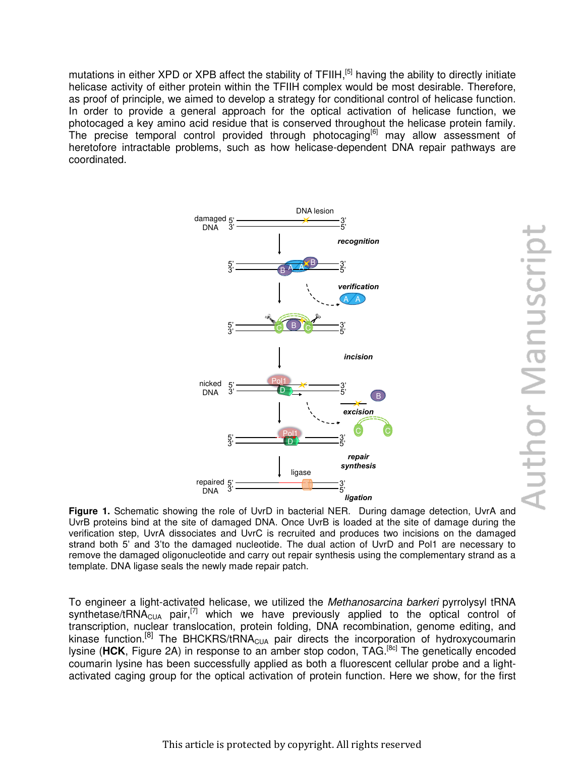mutations in either XPD or XPB affect the stability of TFIIH,<sup>[5]</sup> having the ability to directly initiate helicase activity of either protein within the TFIIH complex would be most desirable. Therefore, as proof of principle, we aimed to develop a strategy for conditional control of helicase function. In order to provide a general approach for the optical activation of helicase function, we photocaged a key amino acid residue that is conserved throughout the helicase protein family. The precise temporal control provided through photocaging<sup>[6]</sup> may allow assessment of heretofore intractable problems, such as how helicase-dependent DNA repair pathways are coordinated.



**Author Manuscript** 

**Figure 1.** Schematic showing the role of UvrD in bacterial NER. During damage detection, UvrA and UvrB proteins bind at the site of damaged DNA. Once UvrB is loaded at the site of damage during the verification step, UvrA dissociates and UvrC is recruited and produces two incisions on the damaged strand both 5' and 3'to the damaged nucleotide. The dual action of UvrD and Pol1 are necessary to remove the damaged oligonucleotide and carry out repair synthesis using the complementary strand as a template. DNA ligase seals the newly made repair patch.

To engineer a light-activated helicase, we utilized the *Methanosarcina barkeri* pyrrolysyl tRNA synthetase/tRNA $_{\text{CUA}}$  pair,<sup>[7]</sup> which we have previously applied to the optical control of transcription, nuclear translocation, protein folding, DNA recombination, genome editing, and kinase function.<sup>[8]</sup> The BHCKRS/tRNA<sub>CUA</sub> pair directs the incorporation of hydroxycoumarin lysine (HCK, Figure 2A) in response to an amber stop codon, TAG.<sup>[8c]</sup> The genetically encoded coumarin lysine has been successfully applied as both a fluorescent cellular probe and a lightactivated caging group for the optical activation of protein function. Here we show, for the first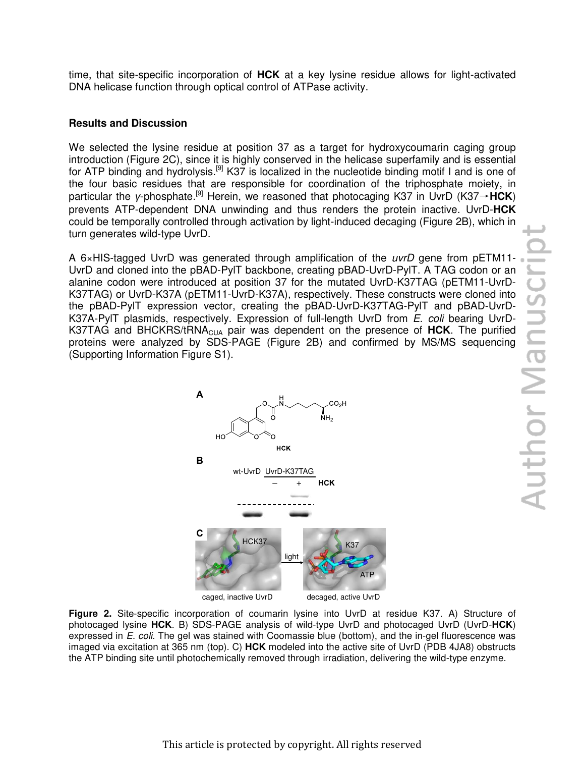time, that site-specific incorporation of **HCK** at a key lysine residue allows for light-activated DNA helicase function through optical control of ATPase activity.

### **Results and Discussion**

We selected the lysine residue at position 37 as a target for hydroxycoumarin caging group introduction (Figure 2C), since it is highly conserved in the helicase superfamily and is essential for ATP binding and hydrolysis.<sup>[9]</sup> K37 is localized in the nucleotide binding motif I and is one of the four basic residues that are responsible for coordination of the triphosphate moiety, in particular the *γ*-phosphate.[9] Herein, we reasoned that photocaging K37 in UvrD (K37→**HCK**) prevents ATP-dependent DNA unwinding and thus renders the protein inactive. UvrD-**HCK** could be temporally controlled through activation by light-induced decaging (Figure 2B), which in turn generates wild-type UvrD.

A 6×HIS-tagged UvrD was generated through amplification of the *uvrD* gene from pETM11- UvrD and cloned into the pBAD-PylT backbone, creating pBAD-UvrD-PylT. A TAG codon or an alanine codon were introduced at position 37 for the mutated UvrD-K37TAG (pETM11-UvrD-K37A), respectively. These constructs were clone alanine codon were introduced at position 37 for the mutated UvrD-K37TAG (pETM11-UvrD-K37TAG) or UvrD-K37A (pETM11-UvrD-K37A), respectively. These constructs were cloned into the pBAD-PylT expression vector, creating the pBAD-UvrD-K37TAG-PylT and pBAD-UvrD-K37A-PylT plasmids, respectively. Expression of full-length UvrD from *E. coli* bearing UvrD-K37TAG and BHCKRS/tRNA<sub>CUA</sub> pair was dependent on the presence of HCK. The purified proteins were analyzed by SDS-PAGE (Figure 2B) and confirmed by MS/MS sequencing (Supporting Information Figure S1).



**Figure 2.** Site-specific incorporation of coumarin lysine into UvrD at residue K37. A) Structure of photocaged lysine **HCK**. B) SDS-PAGE analysis of wild-type UvrD and photocaged UvrD (UvrD-**HCK**) expressed in *E. coli*. The gel was stained with Coomassie blue (bottom), and the in-gel fluorescence was imaged via excitation at 365 nm (top). C) **HCK** modeled into the active site of UvrD (PDB 4JA8) obstructs the ATP binding site until photochemically removed through irradiation, delivering the wild-type enzyme.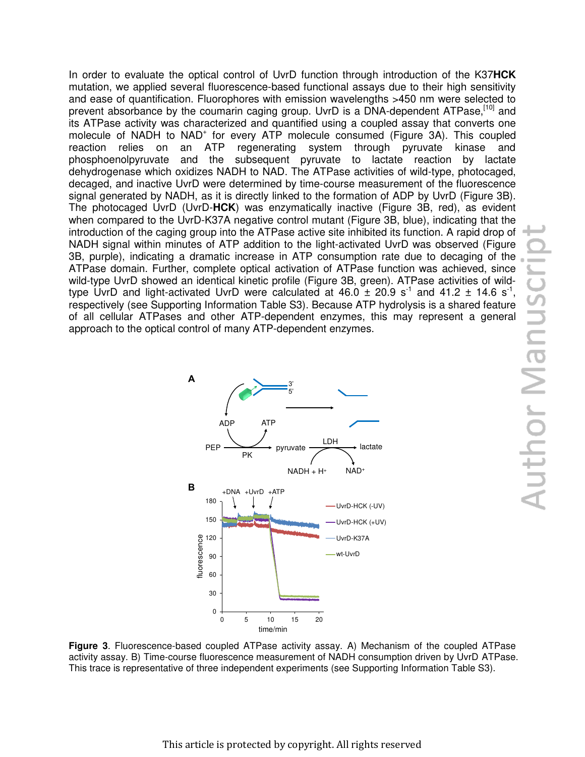In order to evaluate the optical control of UvrD function through introduction of the K37**HCK** mutation, we applied several fluorescence-based functional assays due to their high sensitivity and ease of quantification. Fluorophores with emission wavelengths >450 nm were selected to prevent absorbance by the coumarin caging group. UvrD is a DNA-dependent ATPase.<sup>[10]</sup> and its ATPase activity was characterized and quantified using a coupled assay that converts one molecule of NADH to NAD<sup>+</sup> for every ATP molecule consumed (Figure 3A). This coupled reaction relies on an ATP regenerating system through pyruvate kinase and phosphoenolpyruvate and the subsequent pyruvate to lactate reaction by lactate dehydrogenase which oxidizes NADH to NAD. The ATPase activities of wild-type, photocaged, decaged, and inactive UvrD were determined by time-course measurement of the fluorescence signal generated by NADH, as it is directly linked to the formation of ADP by UvrD (Figure 3B). The photocaged UvrD (UvrD-**HCK**) was enzymatically inactive (Figure 3B, red), as evident when compared to the UvrD-K37A negative control mutant (Figure 3B, blue), indicating that the introduction of the caging group into the ATPase active site inhibited its function. A rapid drop of NADH signal within minutes of ATP addition to the light-activated UvrD was observed (Figure 3B, purple), indicating a dramatic increase in ATP consumption rate due to decaging of the ATPase domain. Further, complete optical activation of ATPase function was achieved, since wild-type UvrD showed an identical kinetic profile (Figure 3B, green). ATPase activities of wildtype UvrD and light-activated UvrD were calculated at  $46.0 \pm 20.9$  s<sup>-1</sup> and  $41.2 \pm 14.6$  s<sup>-1</sup>, respectively (see Supporting Information Table S3). Because ATP hydrolysis is a shared feature of all cellular ATPases and other ATP-dependent enzymes, this may represent a general approach to the optical control of many ATP-dependent enzymes.



**Figure 3**. Fluorescence-based coupled ATPase activity assay. A) Mechanism of the coupled ATPase activity assay. B) Time-course fluorescence measurement of NADH consumption driven by UvrD ATPase. This trace is representative of three independent experiments (see Supporting Information Table S3).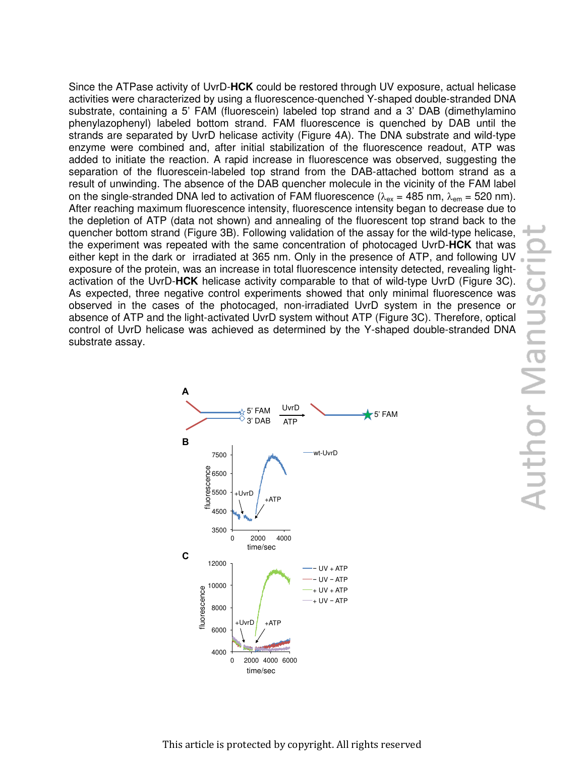Since the ATPase activity of UvrD-**HCK** could be restored through UV exposure, actual helicase activities were characterized by using a fluorescence-quenched Y-shaped double-stranded DNA substrate, containing a 5' FAM (fluorescein) labeled top strand and a 3' DAB (dimethylamino phenylazophenyl) labeled bottom strand. FAM fluorescence is quenched by DAB until the strands are separated by UvrD helicase activity (Figure 4A). The DNA substrate and wild-type enzyme were combined and, after initial stabilization of the fluorescence readout, ATP was added to initiate the reaction. A rapid increase in fluorescence was observed, suggesting the separation of the fluorescein-labeled top strand from the DAB-attached bottom strand as a result of unwinding. The absence of the DAB quencher molecule in the vicinity of the FAM label on the single-stranded DNA led to activation of FAM fluorescence ( $\lambda_{\text{ex}}$  = 485 nm,  $\lambda_{\text{em}}$  = 520 nm). After reaching maximum fluorescence intensity, fluorescence intensity began to decrease due to the depletion of ATP (data not shown) and annealing of the fluorescent top strand back to the quencher bottom strand (Figure 3B). Following validation of the assay for the wild-type helicase, the experiment was repeated with the same concentration of photocaged UvrD-**HCK** that was either kept in the dark or irradiated at 365 nm. Only in the presence of ATP, and following UV exposure of the protein, was an increase in total fluorescence intensity detected, revealing light-As expected, three negative control experiments showed that only minimal fluorescence was observed in the cases of the photocaged, non-irradiated UvrD system in the presence or absence of ATP and the light-activated UvrD system without ATP (Figure 3C). Therefore, optical control of UvrD helicase was achieved as determined by the Y-shaped double-stranded DNA substrate assay.

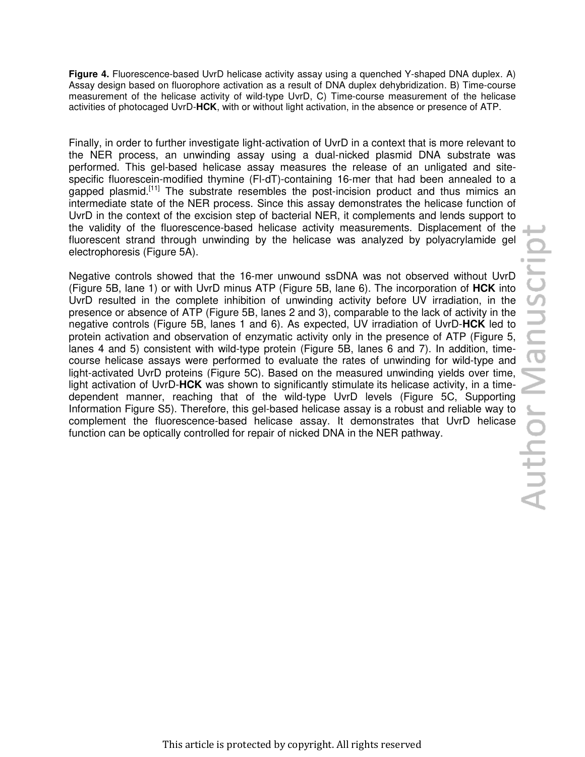**Figure 4.** Fluorescence-based UvrD helicase activity assay using a quenched Y-shaped DNA duplex. A) Assay design based on fluorophore activation as a result of DNA duplex dehybridization. B) Time-course measurement of the helicase activity of wild-type UvrD, C) Time-course measurement of the helicase activities of photocaged UvrD-**HCK**, with or without light activation, in the absence or presence of ATP.

Finally, in order to further investigate light-activation of UvrD in a context that is more relevant to the NER process, an unwinding assay using a dual-nicked plasmid DNA substrate was performed. This gel-based helicase assay measures the release of an unligated and sitespecific fluorescein-modified thymine (Fl-dT)-containing 16-mer that had been annealed to a gapped plasmid.<sup>[11]</sup> The substrate resembles the post-incision product and thus mimics an intermediate state of the NER process. Since this assay demonstrates the helicase function of UvrD in the context of the excision step of bacterial NER, it complements and lends support to the validity of the fluorescence-based helicase activity measurements. Displacement of the fluorescent strand through unwinding by the helicase was analyzed by polyacrylamide gel electrophoresis (Figure 5A).

Negative controls showed that the 16-mer unwound ssDNA was not observed without UvrD<br>
(Figure 5B, lane 1) or with UvrD minus ATP (Figure 5B, lane 6). The incorporation of HCK into<br>
(UvrD resulted in the complete inhibition (Figure 5B, lane 1) or with UvrD minus ATP (Figure 5B, lane 6). The incorporation of **HCK** into UvrD resulted in the complete inhibition of unwinding activity before UV irradiation, in the presence or absence of ATP (Figure 5B, lanes 2 and 3), comparable to the lack of activity in the negative controls (Figure 5B, lanes 1 and 6). As expected, UV irradiation of UvrD-**HCK** led to protein activation and observation of enzymatic activity only in the presence of ATP (Figure 5, lanes 4 and 5) consistent with wild-type protein (Figure 5B, lanes 6 and 7). In addition, timecourse helicase assays were performed to evaluate the rates of unwinding for wild-type and light-activated UvrD proteins (Figure 5C). Based on the measured unwinding yields over time, light activation of UvrD-**HCK** was shown to significantly stimulate its helicase activity, in a timedependent manner, reaching that of the wild-type UvrD levels (Figure 5C, Supporting Information Figure S5). Therefore, this gel-based helicase assay is a robust and reliable way to complement the fluorescence-based helicase assay. It demonstrates that UvrD helicase function can be optically controlled for repair of nicked DNA in the NER pathway.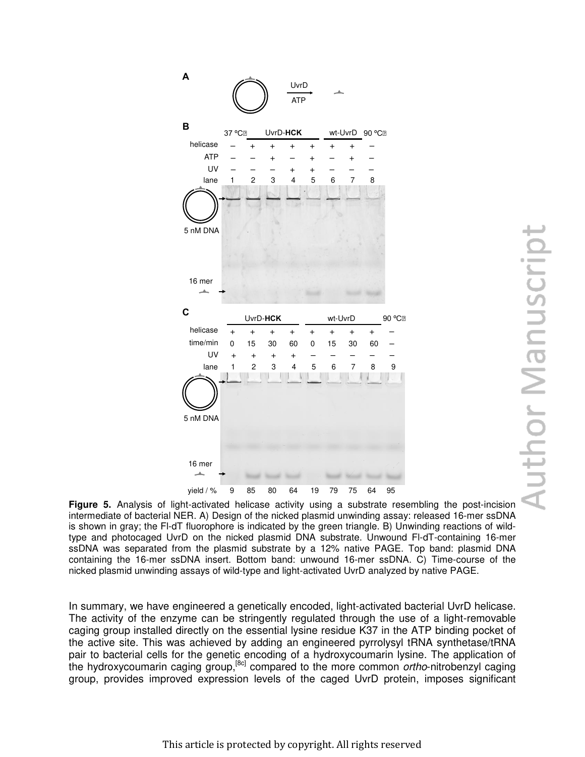

intermediate of bacterial NER. A) Design of the nicked plasmid unwinding assay: released 16-mer ssDNA is shown in gray; the Fl-dT fluorophore is indicated by the green triangle. B) Unwinding reactions of wildtype and photocaged UvrD on the nicked plasmid DNA substrate. Unwound Fl-dT-containing 16-mer ssDNA was separated from the plasmid substrate by a 12% native PAGE. Top band: plasmid DNA containing the 16-mer ssDNA insert. Bottom band: unwound 16-mer ssDNA. C) Time-course of the nicked plasmid unwinding assays of wild-type and light-activated UvrD analyzed by native PAGE.

In summary, we have engineered a genetically encoded, light-activated bacterial UvrD helicase. The activity of the enzyme can be stringently regulated through the use of a light-removable caging group installed directly on the essential lysine residue K37 in the ATP binding pocket of the active site. This was achieved by adding an engineered pyrrolysyl tRNA synthetase/tRNA pair to bacterial cells for the genetic encoding of a hydroxycoumarin lysine. The application of the hydroxycoumarin caging group,[8c] compared to the more common *ortho*-nitrobenzyl caging group, provides improved expression levels of the caged UvrD protein, imposes significant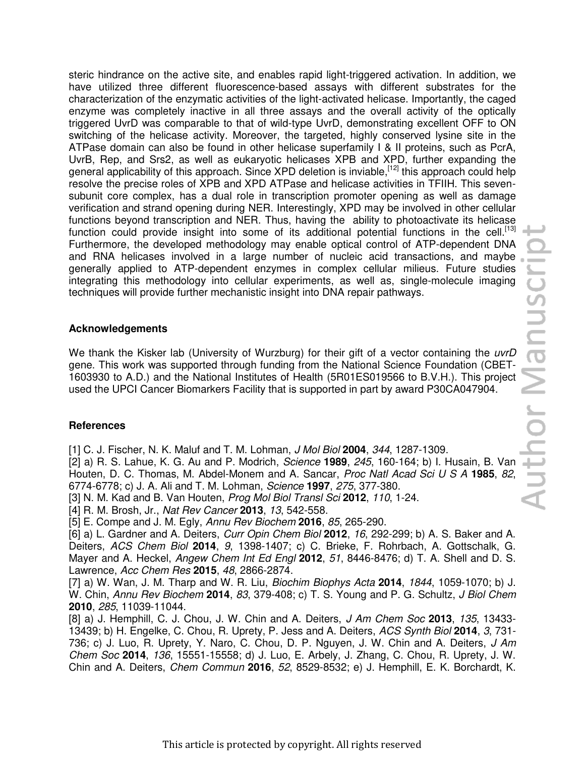steric hindrance on the active site, and enables rapid light-triggered activation. In addition, we have utilized three different fluorescence-based assays with different substrates for the characterization of the enzymatic activities of the light-activated helicase. Importantly, the caged enzyme was completely inactive in all three assays and the overall activity of the optically triggered UvrD was comparable to that of wild-type UvrD, demonstrating excellent OFF to ON switching of the helicase activity. Moreover, the targeted, highly conserved lysine site in the ATPase domain can also be found in other helicase superfamily I & II proteins, such as PcrA, UvrB, Rep, and Srs2, as well as eukaryotic helicases XPB and XPD, further expanding the general applicability of this approach. Since XPD deletion is inviable, <sup>[12]</sup> this approach could help resolve the precise roles of XPB and XPD ATPase and helicase activities in TFIIH. This sevensubunit core complex, has a dual role in transcription promoter opening as well as damage verification and strand opening during NER. Interestingly, XPD may be involved in other cellular functions beyond transcription and NER. Thus, having the ability to photoactivate its helicase function could provide insight into some of its additional potential functions in the cell.<sup>[13]</sup> Furthermore, the developed methodology may enable optical control of ATP-dependent DNA and RNA helicases involved in a large number of nucleic acid transactions, and maybe generally applied to ATP-dependent enzymes in complex cellular milieus. Future studies integrating this methodology into cellular experiments, as well as, single-molecule imaging techniques will provide further mechanistic insight into DNA repair pathways.

## **Acknowledgements**

We thank the Kisker lab (University of Wurzburg) for their gift of a vector containing the *uvrD* gene. This work was supported through funding from the National Science Foundation (CBET-1603930 to A.D.) and the National Institutes of Health (5R01ES019566 to B.V.H.). This project used the UPCI Cancer Biomarkers Facility that is supported in part by award P30CA047904.

# **References**

[1] C. J. Fischer, N. K. Maluf and T. M. Lohman, *J Mol Biol* **2004**, *344*, 1287-1309.

[2] a) R. S. Lahue, K. G. Au and P. Modrich, *Science* **1989**, *245*, 160-164; b) I. Husain, B. Van Houten, D. C. Thomas, M. Abdel-Monem and A. Sancar, *Proc Natl Acad Sci U S A* **1985**, *82*, 6774-6778; c) J. A. Ali and T. M. Lohman, *Science* **1997**, *275*, 377-380.

[3] N. M. Kad and B. Van Houten, *Prog Mol Biol Transl Sci* **2012**, *110*, 1-24.

[4] R. M. Brosh, Jr., *Nat Rev Cancer* **2013**, *13*, 542-558.

[5] E. Compe and J. M. Egly, *Annu Rev Biochem* **2016**, *85*, 265-290.

[6] a) L. Gardner and A. Deiters, *Curr Opin Chem Biol* **2012**, *16*, 292-299; b) A. S. Baker and A. Deiters, *ACS Chem Biol* **2014**, *9*, 1398-1407; c) C. Brieke, F. Rohrbach, A. Gottschalk, G. Mayer and A. Heckel, *Angew Chem Int Ed Engl* **2012**, *51*, 8446-8476; d) T. A. Shell and D. S. Lawrence, *Acc Chem Res* **2015**, *48*, 2866-2874.

[7] a) W. Wan, J. M. Tharp and W. R. Liu, *Biochim Biophys Acta* **2014**, *1844*, 1059-1070; b) J. W. Chin, *Annu Rev Biochem* **2014**, *83*, 379-408; c) T. S. Young and P. G. Schultz, *J Biol Chem*  **2010**, *285*, 11039-11044.

[8] a) J. Hemphill, C. J. Chou, J. W. Chin and A. Deiters, *J Am Chem Soc* **2013**, *135*, 13433- 13439; b) H. Engelke, C. Chou, R. Uprety, P. Jess and A. Deiters, *ACS Synth Biol* **2014**, *3*, 731- 736; c) J. Luo, R. Uprety, Y. Naro, C. Chou, D. P. Nguyen, J. W. Chin and A. Deiters, *J Am Chem Soc* **2014**, *136*, 15551-15558; d) J. Luo, E. Arbely, J. Zhang, C. Chou, R. Uprety, J. W. Chin and A. Deiters, *Chem Commun* **2016**, *52*, 8529-8532; e) J. Hemphill, E. K. Borchardt, K.